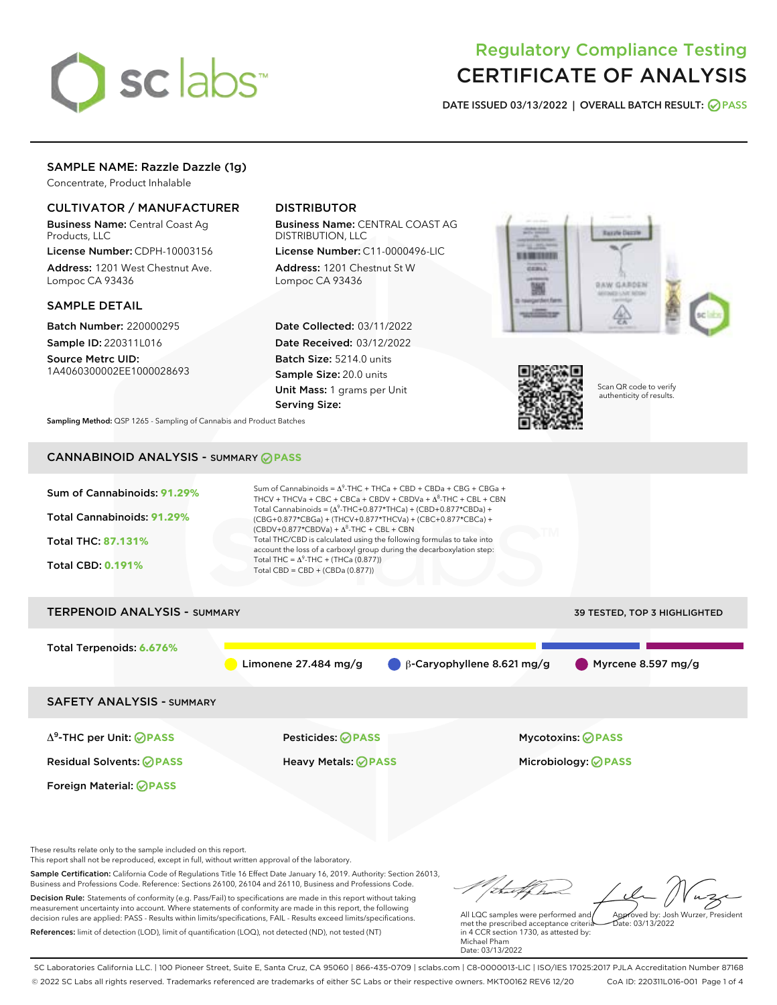

# Regulatory Compliance Testing CERTIFICATE OF ANALYSIS

DATE ISSUED 03/13/2022 | OVERALL BATCH RESULT: @ PASS

# SAMPLE NAME: Razzle Dazzle (1g)

Concentrate, Product Inhalable

# CULTIVATOR / MANUFACTURER

Business Name: Central Coast Ag Products, LLC

License Number: CDPH-10003156 Address: 1201 West Chestnut Ave. Lompoc CA 93436

#### SAMPLE DETAIL

Batch Number: 220000295 Sample ID: 220311L016

Source Metrc UID: 1A4060300002EE1000028693

# DISTRIBUTOR

Business Name: CENTRAL COAST AG DISTRIBUTION, LLC

License Number: C11-0000496-LIC Address: 1201 Chestnut St W Lompoc CA 93436

Date Collected: 03/11/2022 Date Received: 03/12/2022 Batch Size: 5214.0 units Sample Size: 20.0 units Unit Mass: 1 grams per Unit Serving Size:





Scan QR code to verify authenticity of results.

Sampling Method: QSP 1265 - Sampling of Cannabis and Product Batches

# CANNABINOID ANALYSIS - SUMMARY **PASS**



Decision Rule: Statements of conformity (e.g. Pass/Fail) to specifications are made in this report without taking measurement uncertainty into account. Where statements of conformity are made in this report, the following decision rules are applied: PASS - Results within limits/specifications, FAIL - Results exceed limits/specifications. References: limit of detection (LOD), limit of quantification (LOQ), not detected (ND), not tested (NT)

All LQC samples were performed and met the prescribed acceptance criteria in 4 CCR section 1730, as attested by: Michael Pham Date: 03/13/2022 Approved by: Josh Wurzer, President  $hat: 03/13/2022$ 

SC Laboratories California LLC. | 100 Pioneer Street, Suite E, Santa Cruz, CA 95060 | 866-435-0709 | sclabs.com | C8-0000013-LIC | ISO/IES 17025:2017 PJLA Accreditation Number 87168 © 2022 SC Labs all rights reserved. Trademarks referenced are trademarks of either SC Labs or their respective owners. MKT00162 REV6 12/20 CoA ID: 220311L016-001 Page 1 of 4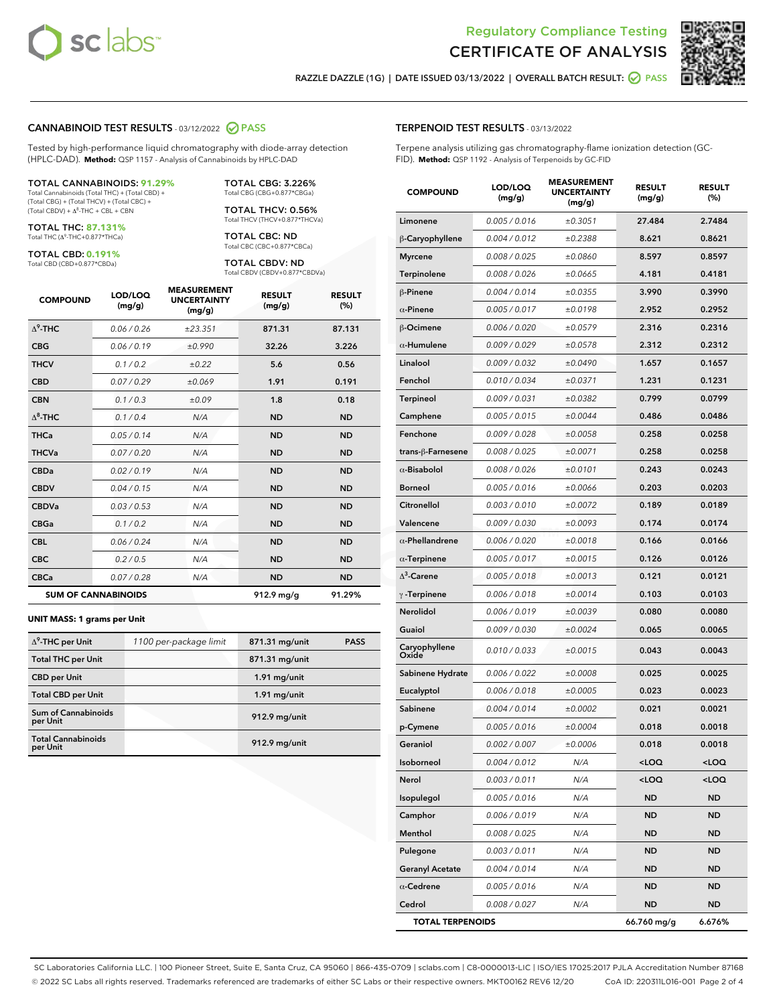



RAZZLE DAZZLE (1G) | DATE ISSUED 03/13/2022 | OVERALL BATCH RESULT: @ PASS

#### CANNABINOID TEST RESULTS - 03/12/2022 2 PASS

Tested by high-performance liquid chromatography with diode-array detection (HPLC-DAD). **Method:** QSP 1157 - Analysis of Cannabinoids by HPLC-DAD

#### TOTAL CANNABINOIDS: **91.29%**

Total Cannabinoids (Total THC) + (Total CBD) + (Total CBG) + (Total THCV) + (Total CBC) +  $(Total CBDV) +  $\Delta^8$ -THC + CBL + CBN$ 

TOTAL THC: **87.131%** Total THC (Δ<sup>9</sup> -THC+0.877\*THCa)

TOTAL CBD: **0.191%**

Total CBD (CBD+0.877\*CBDa)

TOTAL CBG: 3.226% Total CBG (CBG+0.877\*CBGa)

TOTAL THCV: 0.56% Total THCV (THCV+0.877\*THCVa)

TOTAL CBC: ND Total CBC (CBC+0.877\*CBCa)

TOTAL CBDV: ND Total CBDV (CBDV+0.877\*CBDVa)

| <b>COMPOUND</b> | LOD/LOO<br>(mg/g)          | <b>MEASUREMENT</b><br><b>UNCERTAINTY</b><br>(mg/g) | <b>RESULT</b><br>(mg/g) | <b>RESULT</b><br>(%) |
|-----------------|----------------------------|----------------------------------------------------|-------------------------|----------------------|
| $\Delta^9$ -THC | 0.06/0.26                  | ±23.351                                            | 871.31                  | 87.131               |
| <b>CBG</b>      | 0.06/0.19                  | ±0.990                                             | 32.26                   | 3.226                |
| <b>THCV</b>     | 0.1 / 0.2                  | ±0.22                                              | 5.6                     | 0.56                 |
| <b>CBD</b>      | 0.07/0.29                  | ±0.069                                             | 1.91                    | 0.191                |
| <b>CBN</b>      | 0.1/0.3                    | ±0.09                                              | 1.8                     | 0.18                 |
| $\Delta^8$ -THC | 0.1/0.4                    | N/A                                                | <b>ND</b>               | <b>ND</b>            |
| <b>THCa</b>     | 0.05/0.14                  | N/A                                                | <b>ND</b>               | <b>ND</b>            |
| <b>THCVa</b>    | 0.07 / 0.20                | N/A                                                | <b>ND</b>               | <b>ND</b>            |
| <b>CBDa</b>     | 0.02/0.19                  | N/A                                                | <b>ND</b>               | <b>ND</b>            |
| <b>CBDV</b>     | 0.04 / 0.15                | N/A                                                | <b>ND</b>               | <b>ND</b>            |
| <b>CBDVa</b>    | 0.03/0.53                  | N/A                                                | <b>ND</b>               | <b>ND</b>            |
| <b>CBGa</b>     | 0.1 / 0.2                  | N/A                                                | <b>ND</b>               | <b>ND</b>            |
| <b>CBL</b>      | 0.06 / 0.24                | N/A                                                | <b>ND</b>               | <b>ND</b>            |
| <b>CBC</b>      | 0.2 / 0.5                  | N/A                                                | <b>ND</b>               | <b>ND</b>            |
| <b>CBCa</b>     | 0.07/0.28                  | N/A                                                | <b>ND</b>               | <b>ND</b>            |
|                 | <b>SUM OF CANNABINOIDS</b> |                                                    | 912.9 mg/g              | 91.29%               |

#### **UNIT MASS: 1 grams per Unit**

| $\Delta^9$ -THC per Unit               | 1100 per-package limit | 871.31 mg/unit | <b>PASS</b> |
|----------------------------------------|------------------------|----------------|-------------|
| <b>Total THC per Unit</b>              |                        | 871.31 mg/unit |             |
| <b>CBD</b> per Unit                    |                        | $1.91$ mg/unit |             |
| <b>Total CBD per Unit</b>              |                        | $1.91$ mg/unit |             |
| <b>Sum of Cannabinoids</b><br>per Unit |                        | 912.9 mg/unit  |             |
| <b>Total Cannabinoids</b><br>per Unit  |                        | 912.9 mg/unit  |             |

| <b>COMPOUND</b>         | LOD/LOQ<br>(mg/g) | <b>MEASUREMENT</b><br><b>UNCERTAINTY</b><br>(mg/g) | <b>RESULT</b><br>(mg/g)                         | <b>RESULT</b><br>(%) |
|-------------------------|-------------------|----------------------------------------------------|-------------------------------------------------|----------------------|
| Limonene                | 0.005 / 0.016     | ±0.3051                                            | 27.484                                          | 2.7484               |
| β-Caryophyllene         | 0.004 / 0.012     | ±0.2388                                            | 8.621                                           | 0.8621               |
| <b>Myrcene</b>          | 0.008 / 0.025     | ±0.0860                                            | 8.597                                           | 0.8597               |
| <b>Terpinolene</b>      | 0.008 / 0.026     | ±0.0665                                            | 4.181                                           | 0.4181               |
| $\beta$ -Pinene         | 0.004 / 0.014     | ±0.0355                                            | 3.990                                           | 0.3990               |
| $\alpha$ -Pinene        | 0.005 / 0.017     | ±0.0198                                            | 2.952                                           | 0.2952               |
| β-Ocimene               | 0.006 / 0.020     | ±0.0579                                            | 2.316                                           | 0.2316               |
| $\alpha$ -Humulene      | 0.009 / 0.029     | ±0.0578                                            | 2.312                                           | 0.2312               |
| Linalool                | 0.009 / 0.032     | ±0.0490                                            | 1.657                                           | 0.1657               |
| Fenchol                 | 0.010 / 0.034     | ±0.0371                                            | 1.231                                           | 0.1231               |
| Terpineol               | 0.009 / 0.031     | ±0.0382                                            | 0.799                                           | 0.0799               |
| Camphene                | 0.005 / 0.015     | ±0.0044                                            | 0.486                                           | 0.0486               |
| Fenchone                | 0.009 / 0.028     | ±0.0058                                            | 0.258                                           | 0.0258               |
| trans-β-Farnesene       | 0.008 / 0.025     | ±0.0071                                            | 0.258                                           | 0.0258               |
| $\alpha$ -Bisabolol     | 0.008 / 0.026     | ±0.0101                                            | 0.243                                           | 0.0243               |
| <b>Borneol</b>          | 0.005 / 0.016     | ±0.0066                                            | 0.203                                           | 0.0203               |
| Citronellol             | 0.003 / 0.010     | ±0.0072                                            | 0.189                                           | 0.0189               |
| Valencene               | 0.009 / 0.030     | ±0.0093                                            | 0.174                                           | 0.0174               |
| $\alpha$ -Phellandrene  | 0.006 / 0.020     | ±0.0018                                            | 0.166                                           | 0.0166               |
| $\alpha$ -Terpinene     | 0.005 / 0.017     | ±0.0015                                            | 0.126                                           | 0.0126               |
| $\Delta^3$ -Carene      | 0.005 / 0.018     | ±0.0013                                            | 0.121                                           | 0.0121               |
| $\gamma$ -Terpinene     | 0.006 / 0.018     | ±0.0014                                            | 0.103                                           | 0.0103               |
| Nerolidol               | 0.006 / 0.019     | ±0.0039                                            | 0.080                                           | 0.0080               |
| Guaiol                  | 0.009 / 0.030     | ±0.0024                                            | 0.065                                           | 0.0065               |
| Caryophyllene<br>Oxide  | 0.010 / 0.033     | ±0.0015                                            | 0.043                                           | 0.0043               |
| Sabinene Hydrate        | 0.006 / 0.022     | ±0.0008                                            | 0.025                                           | 0.0025               |
| Eucalyptol              | 0.006 / 0.018     | ±0.0005                                            | 0.023                                           | 0.0023               |
| Sabinene                | 0.004 / 0.014     | ±0.0002                                            | 0.021                                           | 0.0021               |
| p-Cymene                | 0.005 / 0.016     | ±0.0004                                            | 0.018                                           | 0.0018               |
| Geraniol                | 0.002 / 0.007     | ±0.0006                                            | 0.018                                           | 0.0018               |
| Isoborneol              | 0.004 / 0.012     | N/A                                                | <loq< th=""><th><loq< th=""></loq<></th></loq<> | <loq< th=""></loq<>  |
| Nerol                   | 0.003 / 0.011     | N/A                                                | <loq< th=""><th><loq< th=""></loq<></th></loq<> | <loq< th=""></loq<>  |
| Isopulegol              | 0.005 / 0.016     | N/A                                                | ND                                              | ND                   |
| Camphor                 | 0.006 / 0.019     | N/A                                                | ND                                              | ND                   |
| Menthol                 | 0.008 / 0.025     | N/A                                                | ND                                              | ND                   |
| Pulegone                | 0.003 / 0.011     | N/A                                                | ND                                              | ND                   |
| <b>Geranyl Acetate</b>  | 0.004 / 0.014     | N/A                                                | ND                                              | ND                   |
| $\alpha$ -Cedrene       | 0.005 / 0.016     | N/A                                                | ND                                              | ND                   |
| Cedrol                  | 0.008 / 0.027     | N/A                                                | ND                                              | ND                   |
| <b>TOTAL TERPENOIDS</b> |                   |                                                    | 66.760 mg/g                                     | 6.676%               |

SC Laboratories California LLC. | 100 Pioneer Street, Suite E, Santa Cruz, CA 95060 | 866-435-0709 | sclabs.com | C8-0000013-LIC | ISO/IES 17025:2017 PJLA Accreditation Number 87168 © 2022 SC Labs all rights reserved. Trademarks referenced are trademarks of either SC Labs or their respective owners. MKT00162 REV6 12/20 CoA ID: 220311L016-001 Page 2 of 4

#### TERPENOID TEST RESULTS - 03/13/2022

Terpene analysis utilizing gas chromatography-flame ionization detection (GC-FID). **Method:** QSP 1192 - Analysis of Terpenoids by GC-FID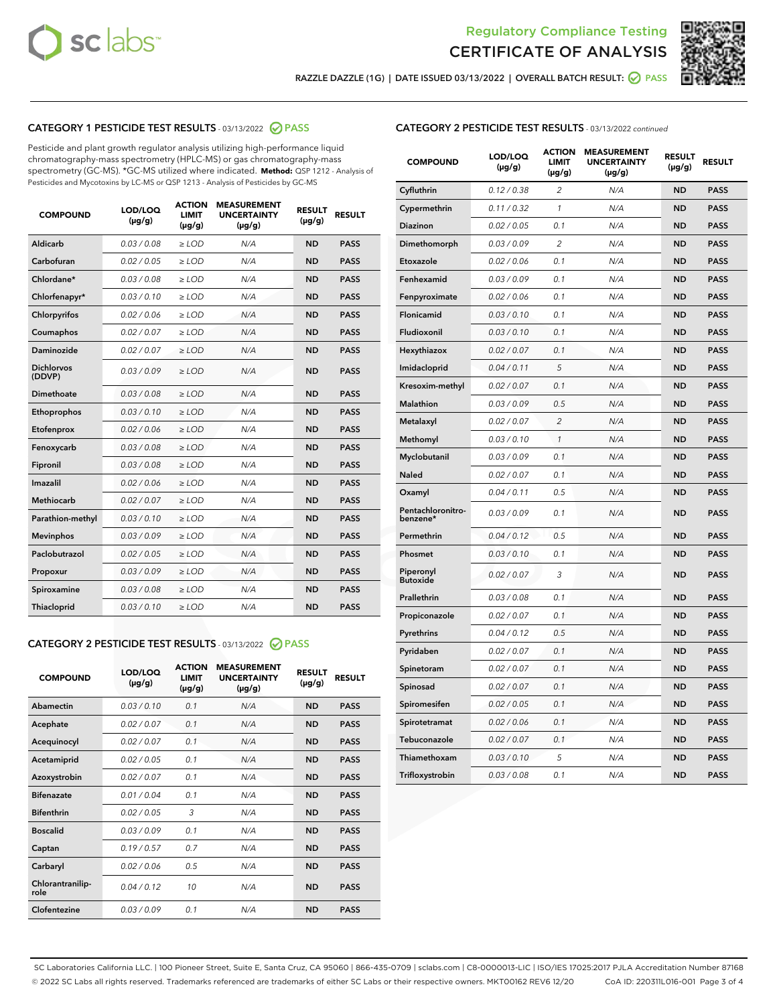



RAZZLE DAZZLE (1G) | DATE ISSUED 03/13/2022 | OVERALL BATCH RESULT:  $\bigcirc$  PASS

# CATEGORY 1 PESTICIDE TEST RESULTS - 03/13/2022 2 PASS

Pesticide and plant growth regulator analysis utilizing high-performance liquid chromatography-mass spectrometry (HPLC-MS) or gas chromatography-mass spectrometry (GC-MS). \*GC-MS utilized where indicated. **Method:** QSP 1212 - Analysis of Pesticides and Mycotoxins by LC-MS or QSP 1213 - Analysis of Pesticides by GC-MS

| <b>COMPOUND</b>             | LOD/LOQ<br>$(\mu g/g)$ | <b>ACTION</b><br>LIMIT<br>$(\mu g/g)$ | <b>MEASUREMENT</b><br><b>UNCERTAINTY</b><br>$(\mu g/g)$ | <b>RESULT</b><br>$(\mu g/g)$ | <b>RESULT</b> |
|-----------------------------|------------------------|---------------------------------------|---------------------------------------------------------|------------------------------|---------------|
| Aldicarb                    | 0.03 / 0.08            | $\ge$ LOD                             | N/A                                                     | <b>ND</b>                    | <b>PASS</b>   |
| Carbofuran                  | 0.02 / 0.05            | $\ge$ LOD                             | N/A                                                     | <b>ND</b>                    | <b>PASS</b>   |
| Chlordane*                  | 0.03/0.08              | $\ge$ LOD                             | N/A                                                     | <b>ND</b>                    | <b>PASS</b>   |
| Chlorfenapyr*               | 0.03/0.10              | $\ge$ LOD                             | N/A                                                     | <b>ND</b>                    | <b>PASS</b>   |
| Chlorpyrifos                | 0.02/0.06              | $\ge$ LOD                             | N/A                                                     | <b>ND</b>                    | <b>PASS</b>   |
| Coumaphos                   | 0.02 / 0.07            | $>$ LOD                               | N/A                                                     | <b>ND</b>                    | <b>PASS</b>   |
| Daminozide                  | 0.02 / 0.07            | $>$ LOD                               | N/A                                                     | <b>ND</b>                    | <b>PASS</b>   |
| <b>Dichlorvos</b><br>(DDVP) | 0.03/0.09              | $\ge$ LOD                             | N/A                                                     | <b>ND</b>                    | <b>PASS</b>   |
| Dimethoate                  | 0.03/0.08              | $>$ LOD                               | N/A                                                     | <b>ND</b>                    | <b>PASS</b>   |
| Ethoprophos                 | 0.03/0.10              | $\ge$ LOD                             | N/A                                                     | <b>ND</b>                    | <b>PASS</b>   |
| Etofenprox                  | 0.02 / 0.06            | $>$ LOD                               | N/A                                                     | <b>ND</b>                    | <b>PASS</b>   |
| Fenoxycarb                  | 0.03/0.08              | $>$ LOD                               | N/A                                                     | <b>ND</b>                    | <b>PASS</b>   |
| Fipronil                    | 0.03/0.08              | $\ge$ LOD                             | N/A                                                     | <b>ND</b>                    | <b>PASS</b>   |
| Imazalil                    | 0.02 / 0.06            | $>$ LOD                               | N/A                                                     | <b>ND</b>                    | <b>PASS</b>   |
| <b>Methiocarb</b>           | 0.02 / 0.07            | $\ge$ LOD                             | N/A                                                     | <b>ND</b>                    | <b>PASS</b>   |
| Parathion-methyl            | 0.03/0.10              | $>$ LOD                               | N/A                                                     | <b>ND</b>                    | <b>PASS</b>   |
| <b>Mevinphos</b>            | 0.03/0.09              | $\ge$ LOD                             | N/A                                                     | <b>ND</b>                    | <b>PASS</b>   |
| Paclobutrazol               | 0.02 / 0.05            | $\ge$ LOD                             | N/A                                                     | <b>ND</b>                    | <b>PASS</b>   |
| Propoxur                    | 0.03/0.09              | $\ge$ LOD                             | N/A                                                     | <b>ND</b>                    | <b>PASS</b>   |
| Spiroxamine                 | 0.03/0.08              | $\ge$ LOD                             | N/A                                                     | <b>ND</b>                    | <b>PASS</b>   |
| Thiacloprid                 | 0.03/0.10              | $>$ LOD                               | N/A                                                     | <b>ND</b>                    | <b>PASS</b>   |
|                             |                        |                                       |                                                         |                              |               |

### CATEGORY 2 PESTICIDE TEST RESULTS - 03/13/2022 @ PASS

| <b>COMPOUND</b>          | LOD/LOQ<br>$(\mu g/g)$ | <b>ACTION</b><br><b>LIMIT</b><br>$(\mu g/g)$ | <b>MEASUREMENT</b><br><b>UNCERTAINTY</b><br>$(\mu g/g)$ | <b>RESULT</b><br>$(\mu g/g)$ | <b>RESULT</b> |
|--------------------------|------------------------|----------------------------------------------|---------------------------------------------------------|------------------------------|---------------|
| Abamectin                | 0.03/0.10              | 0.1                                          | N/A                                                     | <b>ND</b>                    | <b>PASS</b>   |
| Acephate                 | 0.02/0.07              | 0.1                                          | N/A                                                     | <b>ND</b>                    | <b>PASS</b>   |
| Acequinocyl              | 0.02/0.07              | 0.1                                          | N/A                                                     | <b>ND</b>                    | <b>PASS</b>   |
| Acetamiprid              | 0.02/0.05              | 0.1                                          | N/A                                                     | <b>ND</b>                    | <b>PASS</b>   |
| Azoxystrobin             | 0.02 / 0.07            | 0.1                                          | N/A                                                     | <b>ND</b>                    | <b>PASS</b>   |
| <b>Bifenazate</b>        | 0.01/0.04              | 0.1                                          | N/A                                                     | <b>ND</b>                    | <b>PASS</b>   |
| <b>Bifenthrin</b>        | 0.02 / 0.05            | 3                                            | N/A                                                     | <b>ND</b>                    | <b>PASS</b>   |
| <b>Boscalid</b>          | 0.03/0.09              | 0.1                                          | N/A                                                     | <b>ND</b>                    | <b>PASS</b>   |
| Captan                   | 0.19/0.57              | 0.7                                          | N/A                                                     | <b>ND</b>                    | <b>PASS</b>   |
| Carbaryl                 | 0.02/0.06              | 0.5                                          | N/A                                                     | <b>ND</b>                    | <b>PASS</b>   |
| Chlorantranilip-<br>role | 0.04/0.12              | 10                                           | N/A                                                     | <b>ND</b>                    | <b>PASS</b>   |
| Clofentezine             | 0.03/0.09              | 0.1                                          | N/A                                                     | <b>ND</b>                    | <b>PASS</b>   |

| <b>CATEGORY 2 PESTICIDE TEST RESULTS</b> - 03/13/2022 continued |
|-----------------------------------------------------------------|
|-----------------------------------------------------------------|

| <b>COMPOUND</b>               | LOD/LOQ<br>(µg/g) | <b>ACTION</b><br><b>LIMIT</b><br>$(\mu g/g)$ | <b>MEASUREMENT</b><br><b>UNCERTAINTY</b><br>$(\mu g/g)$ | <b>RESULT</b><br>(µg/g) | <b>RESULT</b> |
|-------------------------------|-------------------|----------------------------------------------|---------------------------------------------------------|-------------------------|---------------|
| Cyfluthrin                    | 0.12 / 0.38       | $\overline{c}$                               | N/A                                                     | <b>ND</b>               | <b>PASS</b>   |
| Cypermethrin                  | 0.11 / 0.32       | 1                                            | N/A                                                     | <b>ND</b>               | <b>PASS</b>   |
| <b>Diazinon</b>               | 0.02 / 0.05       | 0.1                                          | N/A                                                     | <b>ND</b>               | <b>PASS</b>   |
| Dimethomorph                  | 0.03 / 0.09       | $\overline{c}$                               | N/A                                                     | <b>ND</b>               | <b>PASS</b>   |
| Etoxazole                     | 0.02 / 0.06       | 0.1                                          | N/A                                                     | <b>ND</b>               | <b>PASS</b>   |
| Fenhexamid                    | 0.03 / 0.09       | 0.1                                          | N/A                                                     | <b>ND</b>               | <b>PASS</b>   |
| Fenpyroximate                 | 0.02 / 0.06       | 0.1                                          | N/A                                                     | <b>ND</b>               | <b>PASS</b>   |
| Flonicamid                    | 0.03 / 0.10       | 0.1                                          | N/A                                                     | <b>ND</b>               | <b>PASS</b>   |
| Fludioxonil                   | 0.03 / 0.10       | 0.1                                          | N/A                                                     | <b>ND</b>               | <b>PASS</b>   |
| Hexythiazox                   | 0.02 / 0.07       | 0.1                                          | N/A                                                     | <b>ND</b>               | <b>PASS</b>   |
| Imidacloprid                  | 0.04 / 0.11       | 5                                            | N/A                                                     | <b>ND</b>               | <b>PASS</b>   |
| Kresoxim-methyl               | 0.02 / 0.07       | 0.1                                          | N/A                                                     | <b>ND</b>               | <b>PASS</b>   |
| Malathion                     | 0.03 / 0.09       | 0.5                                          | N/A                                                     | <b>ND</b>               | <b>PASS</b>   |
| Metalaxyl                     | 0.02 / 0.07       | $\overline{c}$                               | N/A                                                     | <b>ND</b>               | <b>PASS</b>   |
| Methomyl                      | 0.03 / 0.10       | $\mathcal{I}$                                | N/A                                                     | <b>ND</b>               | <b>PASS</b>   |
| Myclobutanil                  | 0.03 / 0.09       | 0.1                                          | N/A                                                     | <b>ND</b>               | <b>PASS</b>   |
| <b>Naled</b>                  | 0.02 / 0.07       | 0.1                                          | N/A                                                     | <b>ND</b>               | <b>PASS</b>   |
| Oxamyl                        | 0.04 / 0.11       | 0.5                                          | N/A                                                     | <b>ND</b>               | <b>PASS</b>   |
| Pentachloronitro-<br>benzene* | 0.03/0.09         | 0.1                                          | N/A                                                     | <b>ND</b>               | <b>PASS</b>   |
| Permethrin                    | 0.04 / 0.12       | 0.5                                          | N/A                                                     | <b>ND</b>               | <b>PASS</b>   |
| Phosmet                       | 0.03 / 0.10       | 0.1                                          | N/A                                                     | <b>ND</b>               | <b>PASS</b>   |
| Piperonyl<br><b>Butoxide</b>  | 0.02 / 0.07       | 3                                            | N/A                                                     | <b>ND</b>               | <b>PASS</b>   |
| Prallethrin                   | 0.03 / 0.08       | 0.1                                          | N/A                                                     | <b>ND</b>               | <b>PASS</b>   |
| Propiconazole                 | 0.02 / 0.07       | 0.1                                          | N/A                                                     | <b>ND</b>               | <b>PASS</b>   |
| Pyrethrins                    | 0.04 / 0.12       | 0.5                                          | N/A                                                     | <b>ND</b>               | <b>PASS</b>   |
| Pyridaben                     | 0.02 / 0.07       | 0.1                                          | N/A                                                     | <b>ND</b>               | <b>PASS</b>   |
| Spinetoram                    | 0.02 / 0.07       | 0.1                                          | N/A                                                     | <b>ND</b>               | <b>PASS</b>   |
| Spinosad                      | 0.02 / 0.07       | 0.1                                          | N/A                                                     | <b>ND</b>               | <b>PASS</b>   |
| Spiromesifen                  | 0.02 / 0.05       | 0.1                                          | N/A                                                     | <b>ND</b>               | <b>PASS</b>   |
| Spirotetramat                 | 0.02 / 0.06       | 0.1                                          | N/A                                                     | <b>ND</b>               | PASS          |
| Tebuconazole                  | 0.02 / 0.07       | 0.1                                          | N/A                                                     | <b>ND</b>               | <b>PASS</b>   |
| Thiamethoxam                  | 0.03 / 0.10       | 5                                            | N/A                                                     | <b>ND</b>               | <b>PASS</b>   |
| Trifloxystrobin               | 0.03 / 0.08       | 0.1                                          | N/A                                                     | <b>ND</b>               | <b>PASS</b>   |

SC Laboratories California LLC. | 100 Pioneer Street, Suite E, Santa Cruz, CA 95060 | 866-435-0709 | sclabs.com | C8-0000013-LIC | ISO/IES 17025:2017 PJLA Accreditation Number 87168 © 2022 SC Labs all rights reserved. Trademarks referenced are trademarks of either SC Labs or their respective owners. MKT00162 REV6 12/20 CoA ID: 220311L016-001 Page 3 of 4